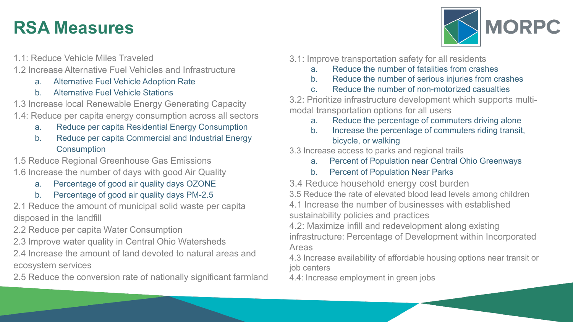## **RSA Measures**

- 1.1: Reduce Vehicle Miles Traveled
- 1.2 Increase Alternative Fuel Vehicles and Infrastructure
	- a. Alternative Fuel Vehicle Adoption Rate
	- b. Alternative Fuel Vehicle Stations
- 1.3 Increase local Renewable Energy Generating Capacity
- 1.4: Reduce per capita energy consumption across all sectors
	- a. Reduce per capita Residential Energy Consumption
	- b. Reduce per capita Commercial and Industrial Energy **Consumption**
- 1.5 Reduce Regional Greenhouse Gas Emissions
- 1.6 Increase the number of days with good Air Quality
	- a. Percentage of good air quality days OZONE
	- b. Percentage of good air quality days PM-2.5
- 2.1 Reduce the amount of municipal solid waste per capita disposed in the landfill
- 2.2 Reduce per capita Water Consumption
- 2.3 Improve water quality in Central Ohio Watersheds
- 2.4 Increase the amount of land devoted to natural areas and ecosystem services
- 2.5 Reduce the conversion rate of nationally significant farmland
- **MORPC**
- 3.1: Improve transportation safety for all residents
	- a. Reduce the number of fatalities from crashes
	- b. Reduce the number of serious injuries from crashes
	- c. Reduce the number of non-motorized casualties

3.2: Prioritize infrastructure development which supports multimodal transportation options for all users

- a. Reduce the percentage of commuters driving alone
- b. Increase the percentage of commuters riding transit, bicycle, or walking

3.3 Increase access to parks and regional trails

- a. Percent of Population near Central Ohio Greenways
- b. Percent of Population Near Parks

3.4 Reduce household energy cost burden

3.5 Reduce the rate of elevated blood lead levels among children

4.1 Increase the number of businesses with established sustainability policies and practices

4.2: Maximize infill and redevelopment along existing infrastructure: Percentage of Development within Incorporated Areas

4.3 Increase availability of affordable housing options near transit or job centers

4.4: Increase employment in green jobs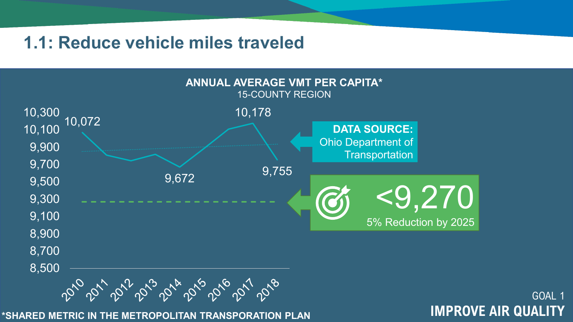### **1.1: Reduce vehicle miles traveled**



GOAL 1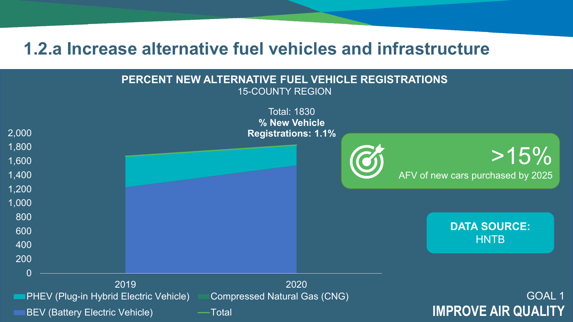### **1.2.a Increase alternative fuel vehicles and infrastructure**

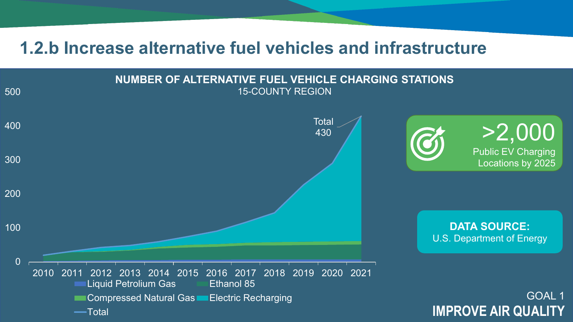### **1.2.b Increase alternative fuel vehicles and infrastructure**

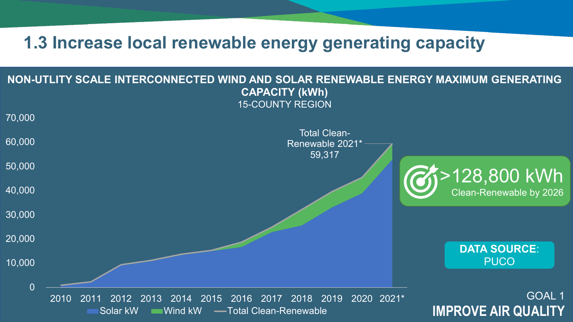### **1.3 Increase local renewable energy generating capacity**

### **NON-UTLITY SCALE INTERCONNECTED WIND AND SOLAR RENEWABLE ENERGY MAXIMUM GENERATING CAPACITY (kWh)** 15-COUNTY REGION

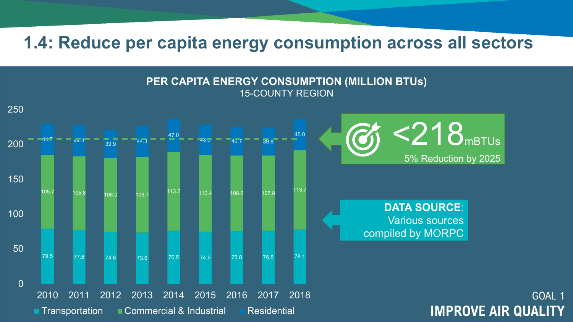**1.4: Reduce per capita energy consumption across all sectors**

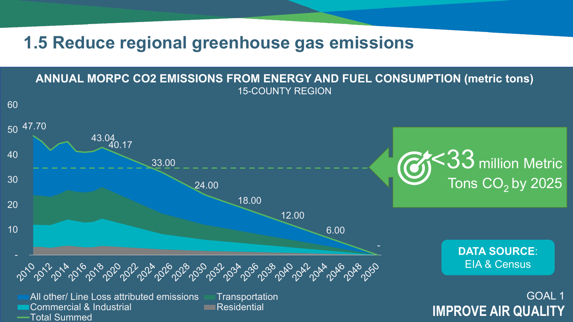**1.5 Reduce regional greenhouse gas emissions**



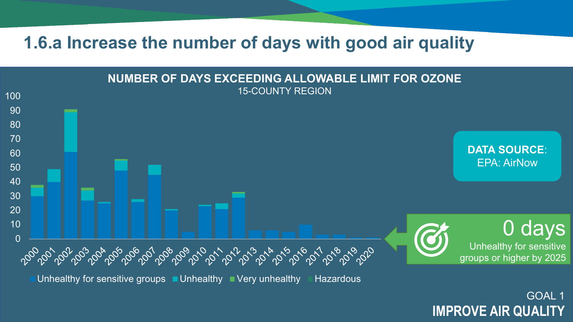**1.6.a Increase the number of days with good air quality**



**IMPROVE AIR QUALITY**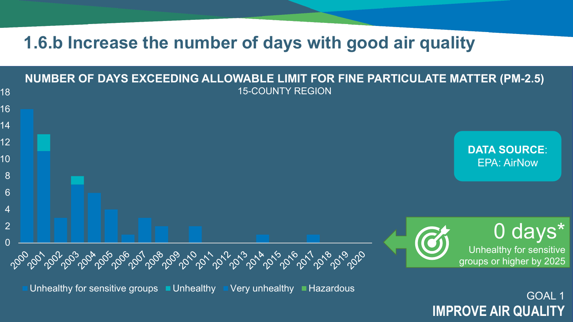### **1.6.b Increase the number of days with good air quality**



GOAL 1 **IMPROVE AIR QUALITY**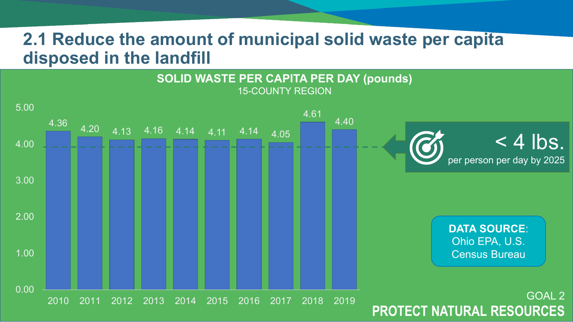### **2.1 Reduce the amount of municipal solid waste per capita disposed in the landfill**

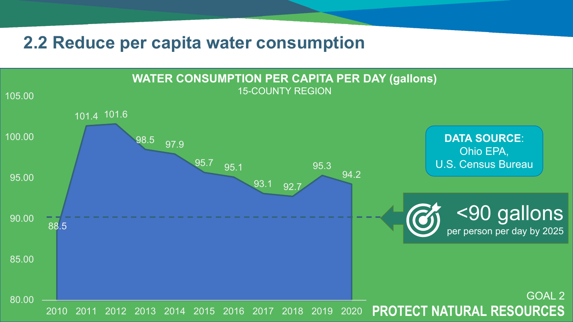### **2.2 Reduce per capita water consumption**

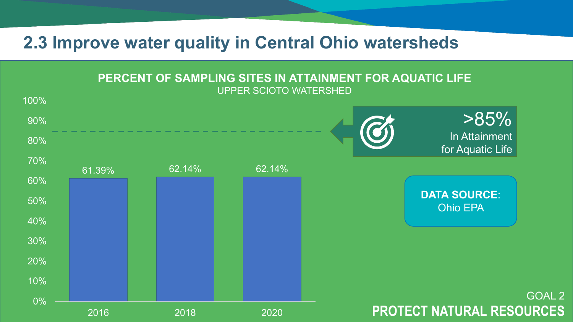### **2.3 Improve water quality in Central Ohio watersheds**

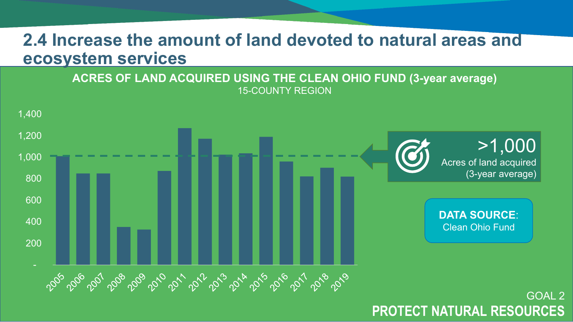### **2.4 Increase the amount of land devoted to natural areas and ecosystem services**

**ACRES OF LAND ACQUIRED USING THE CLEAN OHIO FUND (3-year average)** 15-COUNTY REGION

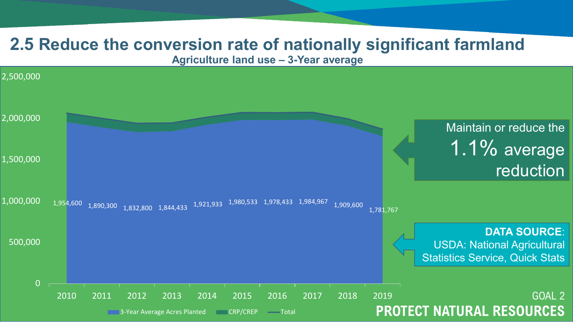### **2.5 Reduce the conversion rate of nationally significant farmland**

**Agriculture land use – 3-Year average**

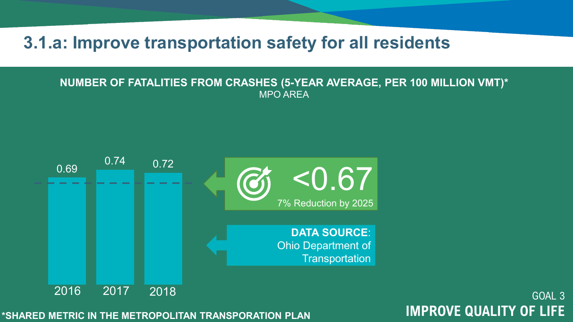**3.1.a: Improve transportation safety for all residents**

#### **NUMBER OF FATALITIES FROM CRASHES (5-YEAR AVERAGE, PER 100 MILLION VMT)\*** MPO AREA

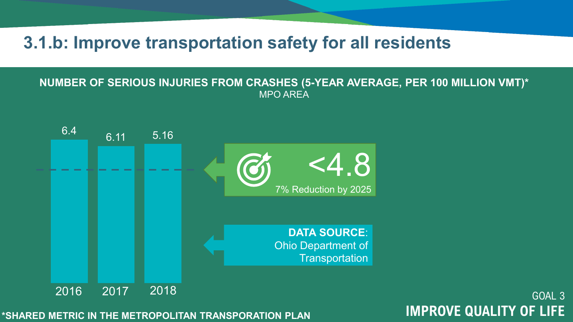**3.1.b: Improve transportation safety for all residents**

#### **NUMBER OF SERIOUS INJURIES FROM CRASHES (5-YEAR AVERAGE, PER 100 MILLION VMT)\*** MPO AREA

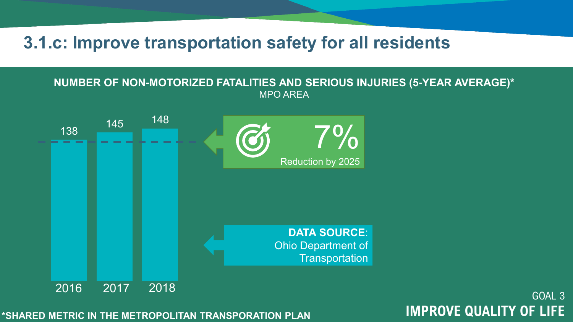### **3.1.c: Improve transportation safety for all residents**

#### **NUMBER OF NON-MOTORIZED FATALITIES AND SERIOUS INJURIES (5-YEAR AVERAGE)\*** MPO AREA

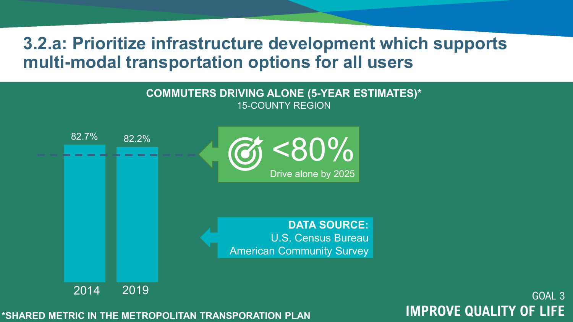### **3.2.a: Prioritize infrastructure development which supports multi-modal transportation options for all users**

#### **COMMUTERS DRIVING ALONE (5-YEAR ESTIMATES)\*** 15-COUNTY REGION

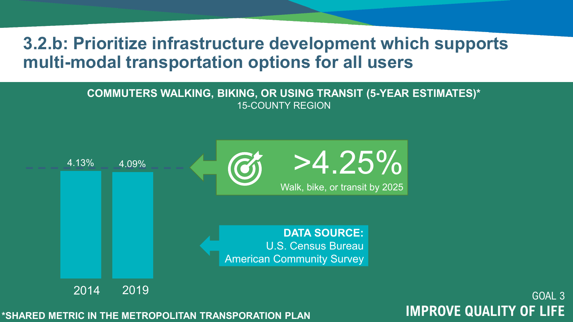### **3.2.b: Prioritize infrastructure development which supports multi-modal transportation options for all users**

### **COMMUTERS WALKING, BIKING, OR USING TRANSIT (5-YEAR ESTIMATES)\*** 15-COUNTY REGION



# GOAL 3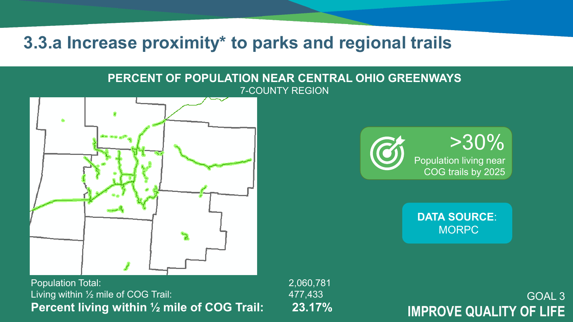**3.3.a Increase proximity\* to parks and regional trails**

#### **PERCENT OF POPULATION NEAR CENTRAL OHIO GREENWAYS** 7-COUNTY REGION



Population Total: 2,060,781 Living within 1/2 mile of COG Trail: 477,433 **Percent living within ½ mile of COG Trail: 23.17%**

>30% Population living near COG trails by 2025

> **DATA SOURCE**: **MORPC**

**IMPROVE QUALITY OF LIFE**

GOAL 3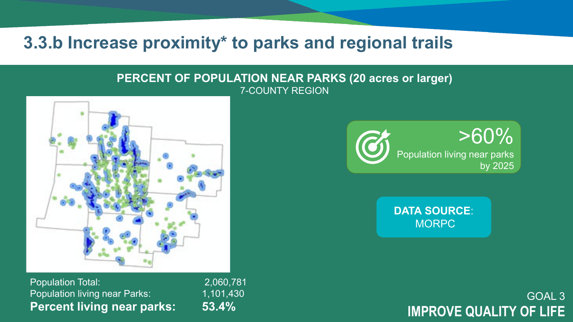### **3.3.b Increase proximity\* to parks and regional trails**

#### **PERCENT OF POPULATION NEAR PARKS (20 acres or larger)** 7-COUNTY REGION



Population Total: 2,060,781 Population living near Parks: 1,101,430 **Percent living near parks: 53.4%**



**DATA SOURCE**: **MORPC** 

### GOAL 3 **IMPROVE QUALITY OF LIFE**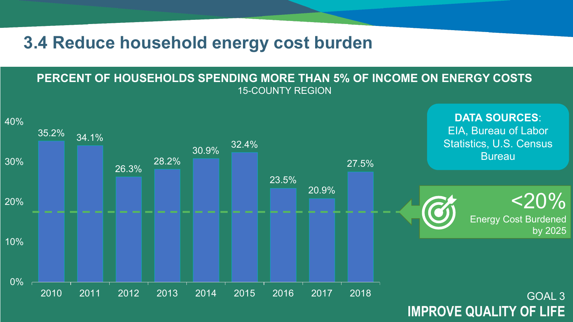### **3.4 Reduce household energy cost burden**

#### **PERCENT OF HOUSEHOLDS SPENDING MORE THAN 5% OF INCOME ON ENERGY COSTS** 15-COUNTY REGION

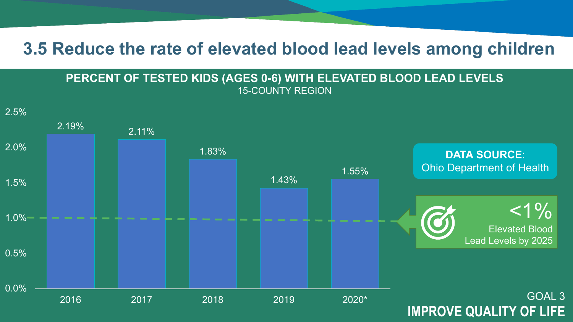### **3.5 Reduce the rate of elevated blood lead levels among children**



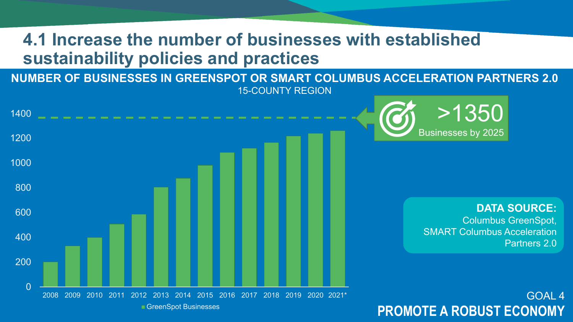## **4.1 Increase the number of businesses with established sustainability policies and practices**

**NUMBER OF BUSINESSES IN GREENSPOT OR SMART COLUMBUS ACCELERATION PARTNERS 2.0** 15-COUNTY REGION

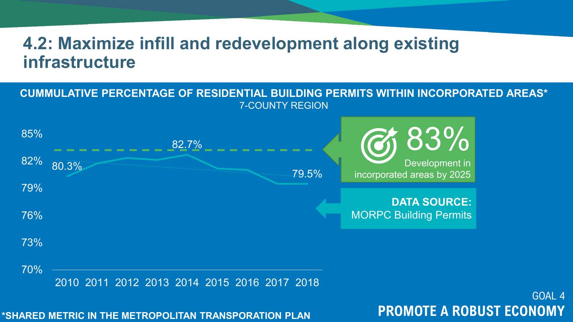### **4.2: Maximize infill and redevelopment along existing infrastructure**





**\*SHARED METRIC IN THE METROPOLITAN TRANSPORATION PLAN PROMOTE A ROBUST ECONOMY**

GOAL 4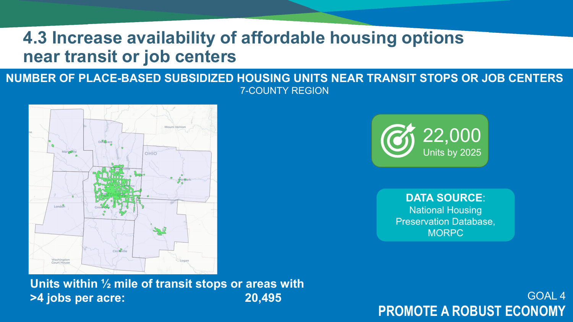## **4.3 Increase availability of affordable housing options near transit or job centers**

### **NUMBER OF PLACE-BASED SUBSIDIZED HOUSING UNITS NEAR TRANSIT STOPS OR JOB CENTERS** 7-COUNTY REGION







**DATA SOURCE**: National Housing Preservation Database, **MORPC** 

**PROMOTE A ROBUST ECONOMY**

GOAL 4